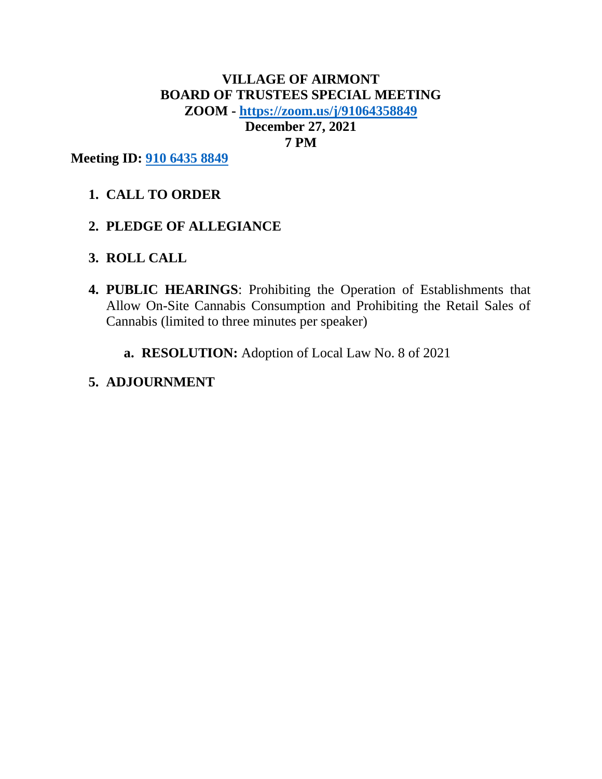# **VILLAGE OF AIRMONT BOARD OF TRUSTEES SPECIAL MEETING ZOOM - <https://zoom.us/j/91064358849> December 27, 2021 7 PM**

**Meeting ID: [910 6435 8849](https://zoom.us/j/91064358849)**

- **1. CALL TO ORDER**
- **2. PLEDGE OF ALLEGIANCE**
- **3. ROLL CALL**
- **4. PUBLIC HEARINGS**: Prohibiting the Operation of Establishments that Allow On-Site Cannabis Consumption and Prohibiting the Retail Sales of Cannabis (limited to three minutes per speaker)
	- **a. RESOLUTION:** Adoption of Local Law No. 8 of 2021

## **5. ADJOURNMENT**